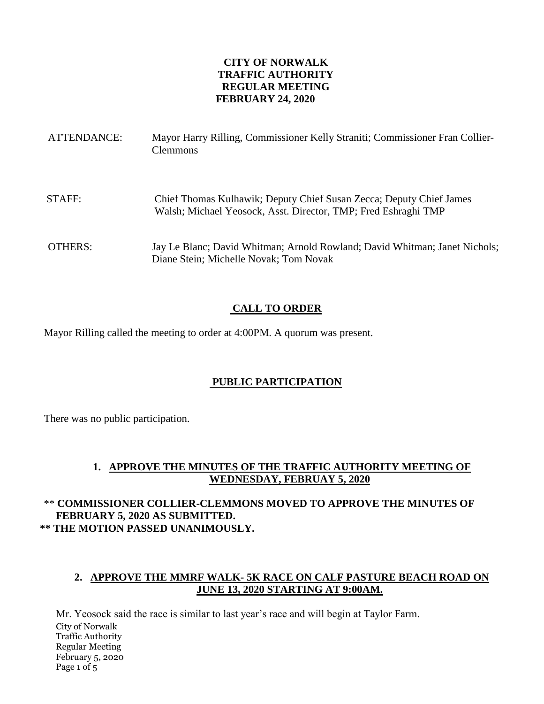### **CITY OF NORWALK TRAFFIC AUTHORITY REGULAR MEETING FEBRUARY 24, 2020**

| ATTENDANCE: | Mayor Harry Rilling, Commissioner Kelly Straniti; Commissioner Fran Collier-<br><b>Clemmons</b>                                       |
|-------------|---------------------------------------------------------------------------------------------------------------------------------------|
| STAFF:      | Chief Thomas Kulhawik; Deputy Chief Susan Zecca; Deputy Chief James<br>Walsh; Michael Yeosock, Asst. Director, TMP; Fred Eshraghi TMP |
| OTHERS:     | Jay Le Blanc; David Whitman; Arnold Rowland; David Whitman; Janet Nichols;<br>Diane Stein; Michelle Novak; Tom Novak                  |

## **CALL TO ORDER**

Mayor Rilling called the meeting to order at 4:00PM. A quorum was present.

# **PUBLIC PARTICIPATION**

There was no public participation.

## **1. APPROVE THE MINUTES OF THE TRAFFIC AUTHORITY MEETING OF WEDNESDAY, FEBRUAY 5, 2020**

# \*\* **COMMISSIONER COLLIER-CLEMMONS MOVED TO APPROVE THE MINUTES OF FEBRUARY 5, 2020 AS SUBMITTED. \*\* THE MOTION PASSED UNANIMOUSLY.**

# **2. APPROVE THE MMRF WALK- 5K RACE ON CALF PASTURE BEACH ROAD ON JUNE 13, 2020 STARTING AT 9:00AM.**

City of Norwalk Traffic Authority Regular Meeting February 5, 2020 Page 1 of 5 Mr. Yeosock said the race is similar to last year's race and will begin at Taylor Farm.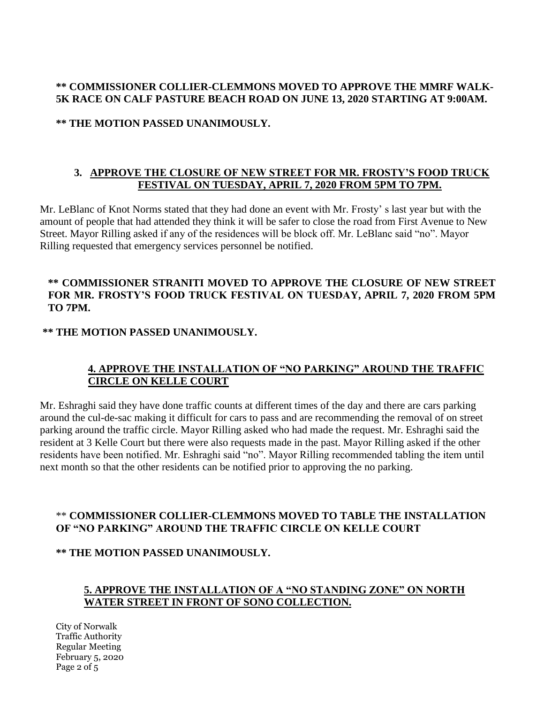### **\*\* COMMISSIONER COLLIER-CLEMMONS MOVED TO APPROVE THE MMRF WALK-5K RACE ON CALF PASTURE BEACH ROAD ON JUNE 13, 2020 STARTING AT 9:00AM.**

**\*\* THE MOTION PASSED UNANIMOUSLY.** 

## **3. APPROVE THE CLOSURE OF NEW STREET FOR MR. FROSTY'S FOOD TRUCK FESTIVAL ON TUESDAY, APRIL 7, 2020 FROM 5PM TO 7PM.**

Mr. LeBlanc of Knot Norms stated that they had done an event with Mr. Frosty' s last year but with the amount of people that had attended they think it will be safer to close the road from First Avenue to New Street. Mayor Rilling asked if any of the residences will be block off. Mr. LeBlanc said "no". Mayor Rilling requested that emergency services personnel be notified.

### **\*\* COMMISSIONER STRANITI MOVED TO APPROVE THE CLOSURE OF NEW STREET FOR MR. FROSTY'S FOOD TRUCK FESTIVAL ON TUESDAY, APRIL 7, 2020 FROM 5PM TO 7PM.**

### **\*\* THE MOTION PASSED UNANIMOUSLY.**

# **4. APPROVE THE INSTALLATION OF "NO PARKING" AROUND THE TRAFFIC CIRCLE ON KELLE COURT**

Mr. Eshraghi said they have done traffic counts at different times of the day and there are cars parking around the cul-de-sac making it difficult for cars to pass and are recommending the removal of on street parking around the traffic circle. Mayor Rilling asked who had made the request. Mr. Eshraghi said the resident at 3 Kelle Court but there were also requests made in the past. Mayor Rilling asked if the other residents have been notified. Mr. Eshraghi said "no". Mayor Rilling recommended tabling the item until next month so that the other residents can be notified prior to approving the no parking.

## \*\* **COMMISSIONER COLLIER-CLEMMONS MOVED TO TABLE THE INSTALLATION OF "NO PARKING" AROUND THE TRAFFIC CIRCLE ON KELLE COURT**

#### **\*\* THE MOTION PASSED UNANIMOUSLY.**

## **5. APPROVE THE INSTALLATION OF A "NO STANDING ZONE" ON NORTH WATER STREET IN FRONT OF SONO COLLECTION.**

City of Norwalk Traffic Authority Regular Meeting February 5, 2020 Page 2 of 5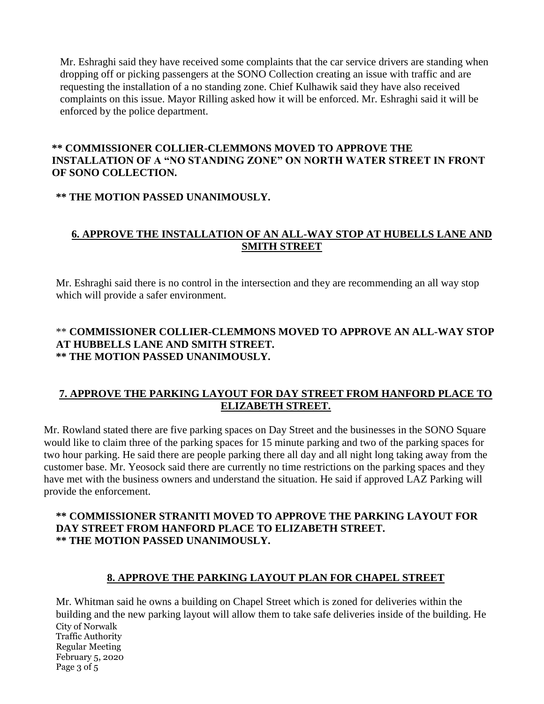Mr. Eshraghi said they have received some complaints that the car service drivers are standing when dropping off or picking passengers at the SONO Collection creating an issue with traffic and are requesting the installation of a no standing zone. Chief Kulhawik said they have also received complaints on this issue. Mayor Rilling asked how it will be enforced. Mr. Eshraghi said it will be enforced by the police department.

#### **\*\* COMMISSIONER COLLIER-CLEMMONS MOVED TO APPROVE THE INSTALLATION OF A "NO STANDING ZONE" ON NORTH WATER STREET IN FRONT OF SONO COLLECTION.**

## **\*\* THE MOTION PASSED UNANIMOUSLY.**

# **6. APPROVE THE INSTALLATION OF AN ALL-WAY STOP AT HUBELLS LANE AND SMITH STREET**

Mr. Eshraghi said there is no control in the intersection and they are recommending an all way stop which will provide a safer environment.

# \*\* **COMMISSIONER COLLIER-CLEMMONS MOVED TO APPROVE AN ALL-WAY STOP AT HUBBELLS LANE AND SMITH STREET. \*\* THE MOTION PASSED UNANIMOUSLY.**

## **7. APPROVE THE PARKING LAYOUT FOR DAY STREET FROM HANFORD PLACE TO ELIZABETH STREET.**

Mr. Rowland stated there are five parking spaces on Day Street and the businesses in the SONO Square would like to claim three of the parking spaces for 15 minute parking and two of the parking spaces for two hour parking. He said there are people parking there all day and all night long taking away from the customer base. Mr. Yeosock said there are currently no time restrictions on the parking spaces and they have met with the business owners and understand the situation. He said if approved LAZ Parking will provide the enforcement.

#### **\*\* COMMISSIONER STRANITI MOVED TO APPROVE THE PARKING LAYOUT FOR DAY STREET FROM HANFORD PLACE TO ELIZABETH STREET. \*\* THE MOTION PASSED UNANIMOUSLY.**

## **8. APPROVE THE PARKING LAYOUT PLAN FOR CHAPEL STREET**

City of Norwalk Traffic Authority Regular Meeting February 5, 2020 Page 3 of 5 Mr. Whitman said he owns a building on Chapel Street which is zoned for deliveries within the building and the new parking layout will allow them to take safe deliveries inside of the building. He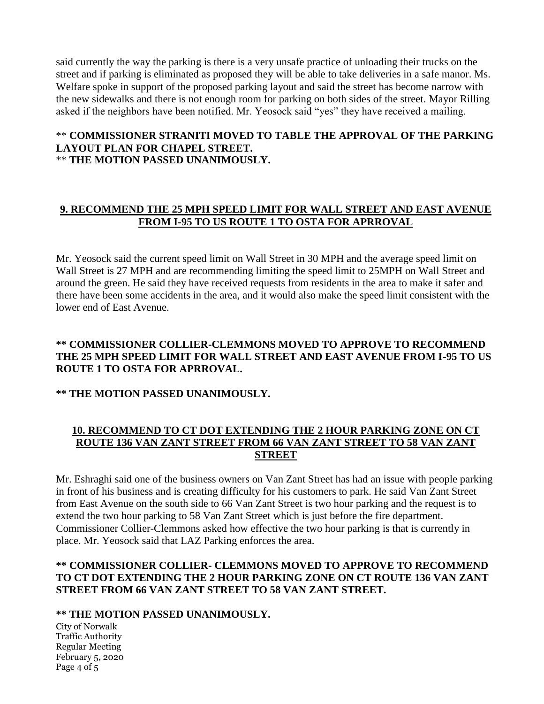said currently the way the parking is there is a very unsafe practice of unloading their trucks on the street and if parking is eliminated as proposed they will be able to take deliveries in a safe manor. Ms. Welfare spoke in support of the proposed parking layout and said the street has become narrow with the new sidewalks and there is not enough room for parking on both sides of the street. Mayor Rilling asked if the neighbors have been notified. Mr. Yeosock said "yes" they have received a mailing.

#### \*\* **COMMISSIONER STRANITI MOVED TO TABLE THE APPROVAL OF THE PARKING LAYOUT PLAN FOR CHAPEL STREET.** \*\* **THE MOTION PASSED UNANIMOUSLY.**

# **9. RECOMMEND THE 25 MPH SPEED LIMIT FOR WALL STREET AND EAST AVENUE FROM I-95 TO US ROUTE 1 TO OSTA FOR APRROVAL**

Mr. Yeosock said the current speed limit on Wall Street in 30 MPH and the average speed limit on Wall Street is 27 MPH and are recommending limiting the speed limit to 25MPH on Wall Street and around the green. He said they have received requests from residents in the area to make it safer and there have been some accidents in the area, and it would also make the speed limit consistent with the lower end of East Avenue.

### **\*\* COMMISSIONER COLLIER-CLEMMONS MOVED TO APPROVE TO RECOMMEND THE 25 MPH SPEED LIMIT FOR WALL STREET AND EAST AVENUE FROM I-95 TO US ROUTE 1 TO OSTA FOR APRROVAL.**

## **\*\* THE MOTION PASSED UNANIMOUSLY.**

## **10. RECOMMEND TO CT DOT EXTENDING THE 2 HOUR PARKING ZONE ON CT ROUTE 136 VAN ZANT STREET FROM 66 VAN ZANT STREET TO 58 VAN ZANT STREET**

Mr. Eshraghi said one of the business owners on Van Zant Street has had an issue with people parking in front of his business and is creating difficulty for his customers to park. He said Van Zant Street from East Avenue on the south side to 66 Van Zant Street is two hour parking and the request is to extend the two hour parking to 58 Van Zant Street which is just before the fire department. Commissioner Collier-Clemmons asked how effective the two hour parking is that is currently in place. Mr. Yeosock said that LAZ Parking enforces the area.

## **\*\* COMMISSIONER COLLIER- CLEMMONS MOVED TO APPROVE TO RECOMMEND TO CT DOT EXTENDING THE 2 HOUR PARKING ZONE ON CT ROUTE 136 VAN ZANT STREET FROM 66 VAN ZANT STREET TO 58 VAN ZANT STREET.**

#### **\*\* THE MOTION PASSED UNANIMOUSLY.**

City of Norwalk Traffic Authority Regular Meeting February 5, 2020 Page 4 of 5